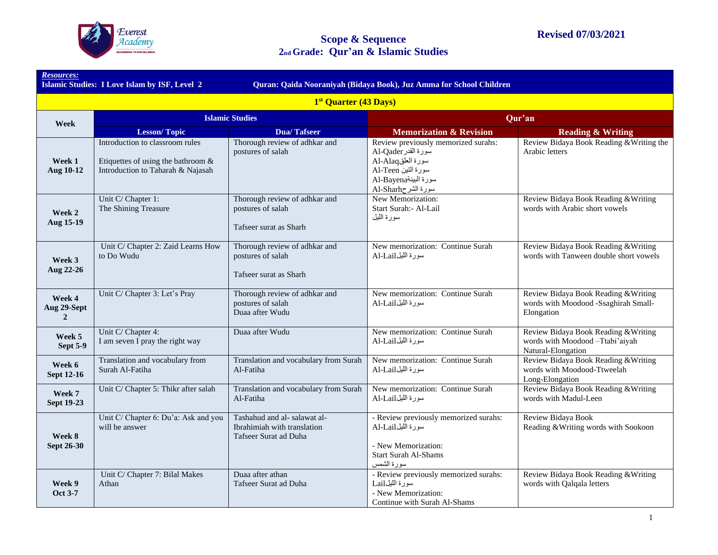

*Resources:* 

|                                         | Quran: Qaida Nooraniyah (Bidaya Book), Juz Amma for School Children<br><b>Islamic Studies: I Love Islam by ISF, Level 2</b> |                                                                                      |                                                                                                                                                      |                                                                                               |  |  |  |
|-----------------------------------------|-----------------------------------------------------------------------------------------------------------------------------|--------------------------------------------------------------------------------------|------------------------------------------------------------------------------------------------------------------------------------------------------|-----------------------------------------------------------------------------------------------|--|--|--|
|                                         | 1 <sup>st</sup> Quarter (43 Days)                                                                                           |                                                                                      |                                                                                                                                                      |                                                                                               |  |  |  |
| Week                                    | <b>Islamic Studies</b>                                                                                                      |                                                                                      |                                                                                                                                                      | Qur'an                                                                                        |  |  |  |
|                                         | <b>Lesson/Topic</b>                                                                                                         | <b>Dua/Tafseer</b>                                                                   | <b>Memorization &amp; Revision</b>                                                                                                                   | <b>Reading &amp; Writing</b>                                                                  |  |  |  |
| Week 1<br>Aug 10-12                     | Introduction to classroom rules<br>Etiquettes of using the bathroom &<br>Introduction to Taharah & Najasah                  | Thorough review of adhkar and<br>postures of salah                                   | Review previously memorized surahs:<br>سورة القدر Al-Qader<br>سورة العلقAl-Alaq<br>سورة النين Al-Teen<br>سورة البينةAl-Bayena<br>Al-Sharh سورة الشرح | Review Bidaya Book Reading & Writing the<br>Arabic letters                                    |  |  |  |
| Week 2<br>Aug 15-19                     | Unit C/ Chapter 1:<br>The Shining Treasure                                                                                  | Thorough review of adhkar and<br>postures of salah<br>Tafseer surat as Sharh         | New Memorization:<br>Start Surah: - Al-Lail<br>سورة الليل                                                                                            | Review Bidaya Book Reading & Writing<br>words with Arabic short vowels                        |  |  |  |
| Week 3<br>Aug 22-26                     | Unit C/ Chapter 2: Zaid Learns How<br>to Do Wudu                                                                            | Thorough review of adhkar and<br>postures of salah<br>Tafseer surat as Sharh         | New memorization: Continue Surah<br>سورة الليلAl-Lail                                                                                                | Review Bidaya Book Reading & Writing<br>words with Tanween double short vowels                |  |  |  |
| Week 4<br>Aug 29-Sept<br>$\overline{2}$ | Unit C/ Chapter 3: Let's Pray                                                                                               | Thorough review of adhkar and<br>postures of salah<br>Duaa after Wudu                | New memorization: Continue Surah<br>سورة الليلAl-Lail                                                                                                | Review Bidaya Book Reading & Writing<br>words with Moodood -Ssaghirah Small-<br>Elongation    |  |  |  |
| Week 5<br>Sept 5-9                      | Unit C/ Chapter 4:<br>I am seven I pray the right way                                                                       | Duaa after Wudu                                                                      | New memorization: Continue Surah<br>سورة الليلAl-Lail                                                                                                | Review Bidaya Book Reading & Writing<br>words with Moodood -Ttabi'aiyah<br>Natural-Elongation |  |  |  |
| Week 6<br><b>Sept 12-16</b>             | Translation and vocabulary from<br>Surah Al-Fatiha                                                                          | Translation and vocabulary from Surah<br>Al-Fatiha                                   | New memorization: Continue Surah<br>سورة الليلAl-Lail                                                                                                | Review Bidaya Book Reading & Writing<br>words with Moodood-Ttweelah<br>Long-Elongation        |  |  |  |
| Week 7<br><b>Sept 19-23</b>             | Unit C/ Chapter 5: Thikr after salah                                                                                        | Translation and vocabulary from Surah<br>Al-Fatiha                                   | New memorization: Continue Surah<br>سورة الليلAl-Lail                                                                                                | Review Bidaya Book Reading & Writing<br>words with Madul-Leen                                 |  |  |  |
| Week 8<br><b>Sept 26-30</b>             | Unit C/ Chapter 6: Du'a: Ask and you<br>will be answer                                                                      | Tashahud and al- salawat al-<br>Ibrahimiah with translation<br>Tafseer Surat ad Duha | - Review previously memorized surahs:<br>سورة الليلAl-Lail<br>- New Memorization:<br><b>Start Surah Al-Shams</b><br>سورة الشمس                       | Review Bidaya Book<br>Reading & Writing words with Sookoon                                    |  |  |  |
| Week 9<br>Oct 3-7                       | Unit C/ Chapter 7: Bilal Makes<br>Athan                                                                                     | Duaa after athan<br>Tafseer Surat ad Duha                                            | - Review previously memorized surahs:<br>سوَّرة الليلLail<br>- New Memorization:<br>Continue with Surah Al-Shams                                     | Review Bidaya Book Reading & Writing<br>words with Qalqala letters                            |  |  |  |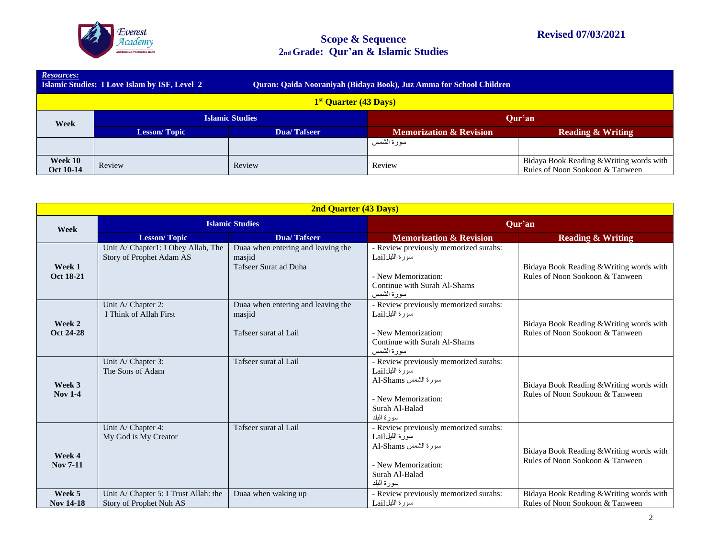

| <b>Resources:</b><br><b>Islamic Studies: I Love Islam by ISF, Level 2</b><br>Quran: Qaida Nooraniyah (Bidaya Book), Juz Amma for School Children |                                   |             |                                    |                                                                             |  |  |
|--------------------------------------------------------------------------------------------------------------------------------------------------|-----------------------------------|-------------|------------------------------------|-----------------------------------------------------------------------------|--|--|
|                                                                                                                                                  | 1 <sup>st</sup> Quarter (43 Days) |             |                                    |                                                                             |  |  |
| Week                                                                                                                                             | <b>Islamic Studies</b>            |             | Our'an                             |                                                                             |  |  |
|                                                                                                                                                  | <b>Lesson/Topic</b>               | Dua/Tafseer | <b>Memorization &amp; Revision</b> | <b>Reading &amp; Writing</b>                                                |  |  |
|                                                                                                                                                  |                                   |             | سورة الشمس                         |                                                                             |  |  |
| Week 10<br>Oct 10-14                                                                                                                             | Review                            | Review      | Review                             | Bidaya Book Reading & Writing words with<br>Rules of Noon Sookoon & Tanween |  |  |

| <b>2nd Quarter (43 Days)</b> |                                                                  |                                                                       |                                                                                                                                        |                                                                             |  |
|------------------------------|------------------------------------------------------------------|-----------------------------------------------------------------------|----------------------------------------------------------------------------------------------------------------------------------------|-----------------------------------------------------------------------------|--|
| Week                         | <b>Islamic Studies</b>                                           |                                                                       | Qur'an                                                                                                                                 |                                                                             |  |
|                              | <b>Lesson/Topic</b>                                              | <b>Dua/Tafseer</b>                                                    | <b>Memorization &amp; Revision</b>                                                                                                     | <b>Reading &amp; Writing</b>                                                |  |
| Week 1<br>Oct 18-21          | Unit A/ Chapter1: I Obey Allah, The<br>Story of Prophet Adam AS  | Duaa when entering and leaving the<br>masjid<br>Tafseer Surat ad Duha | - Review previously memorized surahs:<br>سورة الليلLail<br>- New Memorization:<br>Continue with Surah Al-Shams<br>سورة الشمس           | Bidaya Book Reading & Writing words with<br>Rules of Noon Sookoon & Tanween |  |
| Week 2<br>Oct 24-28          | Unit A/ Chapter 2:<br>I Think of Allah First                     | Duaa when entering and leaving the<br>masjid<br>Tafseer surat al Lail | - Review previously memorized surahs:<br>سورة الليلLail<br>- New Memorization:<br>Continue with Surah Al-Shams<br>سورة الشمس           | Bidaya Book Reading & Writing words with<br>Rules of Noon Sookoon & Tanween |  |
| Week 3<br><b>Nov 1-4</b>     | Unit A/ Chapter 3:<br>The Sons of Adam                           | Tafseer surat al Lail                                                 | - Review previously memorized surahs:<br>سورة اللبلLail<br>سورة الشمس Al-Shams<br>- New Memorization:<br>Surah Al-Balad<br>سور ۃ البلد | Bidaya Book Reading & Writing words with<br>Rules of Noon Sookoon & Tanween |  |
| Week 4<br><b>Nov 7-11</b>    | Unit A/ Chapter 4:<br>My God is My Creator                       | Tafseer surat al Lail                                                 | - Review previously memorized surahs:<br>سورة الليلLail<br>سورة الشمس Al-Shams<br>- New Memorization:<br>Surah Al-Balad<br>سور ۃ البلد | Bidaya Book Reading & Writing words with<br>Rules of Noon Sookoon & Tanween |  |
| Week 5<br><b>Nov 14-18</b>   | Unit A/ Chapter 5: I Trust Allah: the<br>Story of Prophet Nuh AS | Duaa when waking up                                                   | - Review previously memorized surahs:<br>سورة الليلLail                                                                                | Bidaya Book Reading & Writing words with<br>Rules of Noon Sookoon & Tanween |  |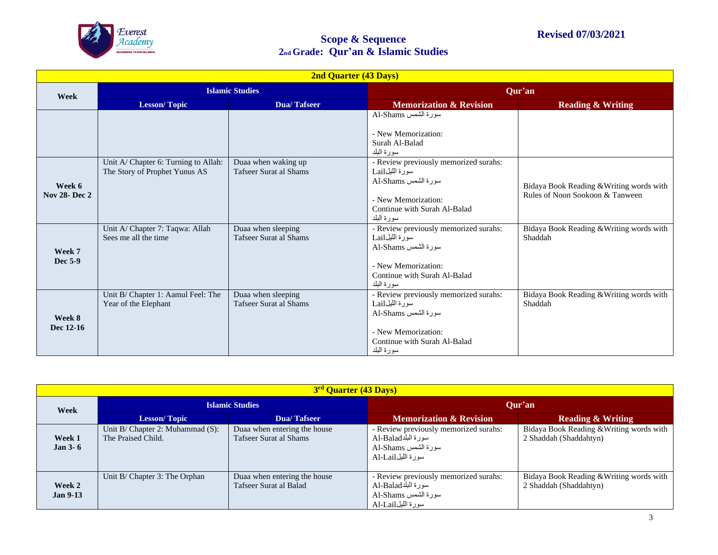

| <b>2nd Quarter (43 Days)</b>  |                                                                       |                                                     |                                                                                                                                                      |                                                                             |  |
|-------------------------------|-----------------------------------------------------------------------|-----------------------------------------------------|------------------------------------------------------------------------------------------------------------------------------------------------------|-----------------------------------------------------------------------------|--|
| Week                          | <b>Islamic Studies</b>                                                |                                                     |                                                                                                                                                      | Qur'an                                                                      |  |
|                               | <b>Lesson/Topic</b>                                                   | <b>Dua/Tafseer</b>                                  | <b>Memorization &amp; Revision</b>                                                                                                                   | <b>Reading &amp; Writing</b>                                                |  |
|                               |                                                                       |                                                     | سورة الشمس Al-Shams<br>- New Memorization:<br>Surah Al-Balad<br>سو ر ۃ البلد                                                                         |                                                                             |  |
| Week 6<br><b>Nov 28-Dec 2</b> | Unit A/ Chapter 6: Turning to Allah:<br>The Story of Prophet Yunus AS | Duaa when waking up<br>Tafseer Surat al Shams       | - Review previously memorized surahs:<br>سورة الليلLail<br>سورة الشمس Al-Shams<br>- New Memorization:<br>Continue with Surah Al-Balad<br>سورة البلد  | Bidaya Book Reading & Writing words with<br>Rules of Noon Sookoon & Tanween |  |
| Week 7<br>Dec 5-9             | Unit A/ Chapter 7: Taqwa: Allah<br>Sees me all the time               | Duaa when sleeping<br><b>Tafseer Surat al Shams</b> | - Review previously memorized surahs:<br>سورة الليلLail<br>سورة الشمس Al-Shams<br>- New Memorization:<br>Continue with Surah Al-Balad<br>سور ۃ البلد | Bidaya Book Reading & Writing words with<br>Shaddah                         |  |
| Week 8<br>Dec 12-16           | Unit B/ Chapter 1: Aamul Feel: The<br>Year of the Elephant            | Duaa when sleeping<br>Tafseer Surat al Shams        | - Review previously memorized surahs:<br>سورة الليلLail<br>سورة الشمس Al-Shams<br>- New Memorization:<br>Continue with Surah Al-Balad<br>سورة البلد  | Bidaya Book Reading & Writing words with<br>Shaddah                         |  |

| 3 <sup>rd</sup> Quarter (43 Days) |                                                             |                                                        |                                                                                                         |                                                                    |  |
|-----------------------------------|-------------------------------------------------------------|--------------------------------------------------------|---------------------------------------------------------------------------------------------------------|--------------------------------------------------------------------|--|
| Week                              | <b>Islamic Studies</b>                                      |                                                        | Our'an                                                                                                  |                                                                    |  |
|                                   | <b>Lesson/Topic</b>                                         | Dua/Tafseer                                            | <b>Memorization &amp; Revision</b>                                                                      | <b>Reading &amp; Writing</b>                                       |  |
| Week 1<br>Jan $3-6$               | Unit $B/$ Chapter 2: Muhammad $(S)$ :<br>The Praised Child. | Duaa when entering the house<br>Tafseer Surat al Shams | - Review previously memorized surahs:<br>سورة البلدAl-Balad<br>سورة الشمس Al-Shams<br>سورة الليلAl-Lail | Bidaya Book Reading & Writing words with<br>2 Shaddah (Shaddahtyn) |  |
| Week 2<br><b>Jan 9-13</b>         | Unit B/ Chapter 3: The Orphan                               | Duaa when entering the house<br>Tafseer Surat al Balad | - Review previously memorized surahs:<br>سورة البلدAl-Balad<br>سورة الشمس Al-Shams<br>سورة الليلAl-Lail | Bidaya Book Reading & Writing words with<br>2 Shaddah (Shaddahtyn) |  |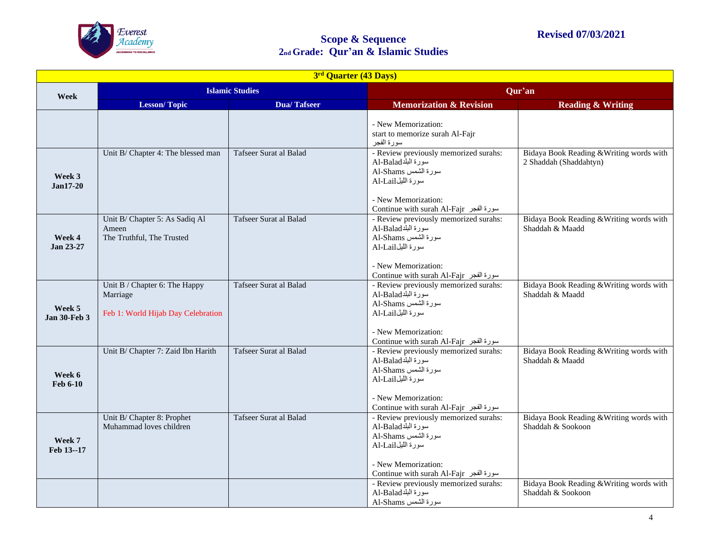

| 3 <sup>rd</sup> Quarter (43 Days) |                                                                                 |                        |                                                                                                                                                                          |                                                                    |
|-----------------------------------|---------------------------------------------------------------------------------|------------------------|--------------------------------------------------------------------------------------------------------------------------------------------------------------------------|--------------------------------------------------------------------|
| Week                              | <b>Islamic Studies</b>                                                          |                        | Qur'an                                                                                                                                                                   |                                                                    |
|                                   | <b>Lesson/Topic</b>                                                             | <b>Dua/Tafseer</b>     | <b>Memorization &amp; Revision</b>                                                                                                                                       | <b>Reading &amp; Writing</b>                                       |
|                                   |                                                                                 |                        | - New Memorization:<br>start to memorize surah Al-Fajr<br>سورة الفجر                                                                                                     |                                                                    |
| Week 3<br>$Jan17-20$              | Unit B/ Chapter 4: The blessed man                                              | Tafseer Surat al Balad | - Review previously memorized surahs:<br>سورة البلدAl-Balad<br>سورة الشمس Al-Shams<br>سورة الليلAl-Lail<br>- New Memorization:<br>Continue with surah Al-Fajr سورة الفجر | Bidaya Book Reading & Writing words with<br>2 Shaddah (Shaddahtyn) |
| Week 4<br>Jan 23-27               | Unit B/ Chapter 5: As Sadiq Al<br>Ameen<br>The Truthful, The Trusted            | Tafseer Surat al Balad | - Review previously memorized surahs:<br>سورة البلدAl-Balad<br>سورة الشمس Al-Shams<br>سورة الليلAl-Lail<br>- New Memorization:<br>Continue with surah Al-Fajr سورة الفجر | Bidaya Book Reading & Writing words with<br>Shaddah & Maadd        |
| Week 5<br><b>Jan 30-Feb 3</b>     | Unit B / Chapter 6: The Happy<br>Marriage<br>Feb 1: World Hijab Day Celebration | Tafseer Surat al Balad | - Review previously memorized surahs:<br>سورة البلدAl-Balad<br>سورة الشمس Al-Shams<br>سورة الليلAl-Lail<br>- New Memorization:<br>Continue with surah Al-Fajr سورة الفجر | Bidaya Book Reading & Writing words with<br>Shaddah & Maadd        |
| Week 6<br><b>Feb 6-10</b>         | Unit B/ Chapter 7: Zaid Ibn Harith                                              | Tafseer Surat al Balad | - Review previously memorized surahs:<br>سورة البلدAl-Balad<br>سورة الشمس Al-Shams<br>سورة الليلAl-Lail<br>- New Memorization:<br>Continue with surah Al-Fajr سورة الفجر | Bidaya Book Reading & Writing words with<br>Shaddah & Maadd        |
| Week 7<br>Feb 13--17              | Unit B/ Chapter 8: Prophet<br>Muhammad loves children                           | Tafseer Surat al Balad | - Review previously memorized surahs:<br>سورة البلدAl-Balad<br>سورة الشمس Al-Shams<br>سورة الليلAl-Lail<br>- New Memorization:<br>Continue with surah Al-Fajr سورة الفجر | Bidaya Book Reading & Writing words with<br>Shaddah & Sookoon      |
|                                   |                                                                                 |                        | - Review previously memorized surahs:<br>سورة البلدAl-Balad<br>سورة الشمس Al-Shams                                                                                       | Bidaya Book Reading & Writing words with<br>Shaddah & Sookoon      |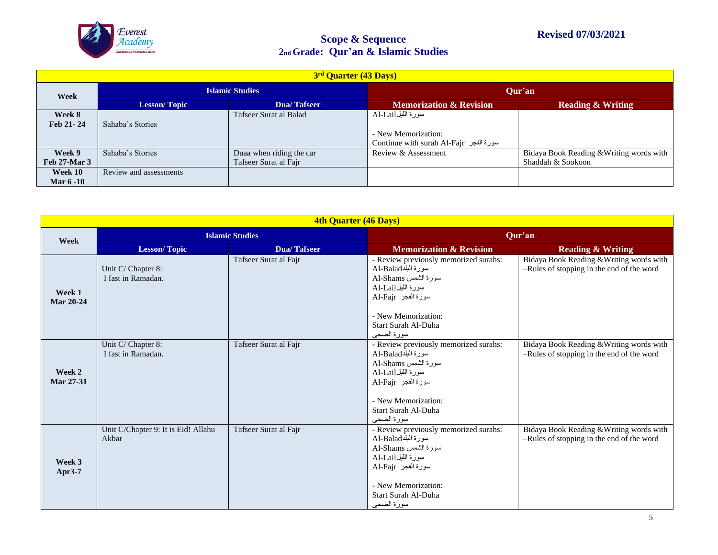

| 3 <sup>rd</sup> Quarter (43 Days) |                        |                                                   |                                                                                    |                                                               |  |
|-----------------------------------|------------------------|---------------------------------------------------|------------------------------------------------------------------------------------|---------------------------------------------------------------|--|
| Week                              | <b>Islamic Studies</b> |                                                   | Our'an                                                                             |                                                               |  |
|                                   | Lesson/Topic           | Dua/Tafseer                                       | <b>Memorization &amp; Revision</b>                                                 | <b>Reading &amp; Writing</b>                                  |  |
| Week 8<br>Feb 21-24               | Sahaba's Stories       | Tafseer Surat al Balad                            | سورة الليلAl-Lail<br>- New Memorization:<br>Continue with surah Al-Fajr سورة الفجر |                                                               |  |
| Week 9<br>Feb 27-Mar 3            | Sahaba's Stories       | Duaa when riding the car<br>Tafseer Surat al Fajr | Review & Assessment                                                                | Bidaya Book Reading & Writing words with<br>Shaddah & Sookoon |  |
| Week 10<br><b>Mar 6 -10</b>       | Review and assessments |                                                   |                                                                                    |                                                               |  |

| 4th Quarter (46 Days) |                                              |                       |                                                                                                                                                                                           |                                                                                       |  |
|-----------------------|----------------------------------------------|-----------------------|-------------------------------------------------------------------------------------------------------------------------------------------------------------------------------------------|---------------------------------------------------------------------------------------|--|
| Week                  | <b>Islamic Studies</b>                       |                       | Qur'an                                                                                                                                                                                    |                                                                                       |  |
|                       | <b>Lesson/Topic</b>                          | <b>Dua/Tafseer</b>    | <b>Memorization &amp; Revision</b>                                                                                                                                                        | <b>Reading &amp; Writing</b>                                                          |  |
| Week 1<br>Mar 20-24   | Unit C/ Chapter 8:<br>I fast in Ramadan.     | Tafseer Surat al Fajr | - Review previously memorized surahs:<br>سورة البلدAl-Balad<br>سورة الشمس Al-Shams<br>سورة الليلAl-Lail<br>سورة الفجر Al-Fajr                                                             | Bidaya Book Reading & Writing words with<br>-Rules of stopping in the end of the word |  |
|                       |                                              |                       | - New Memorization:<br>Start Surah Al-Duha<br>سورة الضحى                                                                                                                                  |                                                                                       |  |
| Week 2<br>Mar 27-31   | Unit C/ Chapter 8:<br>I fast in Ramadan.     | Tafseer Surat al Fajr | - Review previously memorized surahs:<br>سورة البلدAl-Balad<br>سورة الشمس Al-Shams<br>سورة الليلAl-Lail<br>سورة الفجر Al-Fajr<br>- New Memorization:                                      | Bidaya Book Reading & Writing words with<br>-Rules of stopping in the end of the word |  |
|                       |                                              |                       | Start Surah Al-Duha<br>سور ۃ الضحے،                                                                                                                                                       |                                                                                       |  |
| Week 3<br>Apr3-7      | Unit C/Chapter 9: It is Eid! Allahu<br>Akbar | Tafseer Surat al Fajr | - Review previously memorized surahs:<br>سورة البلدAl-Balad<br>سورة الشمس Al-Shams<br>سورة الليلAl-Lail<br>سورة الفجر Al-Fajr<br>- New Memorization:<br>Start Surah Al-Duha<br>سورة الضحى | Bidaya Book Reading & Writing words with<br>-Rules of stopping in the end of the word |  |